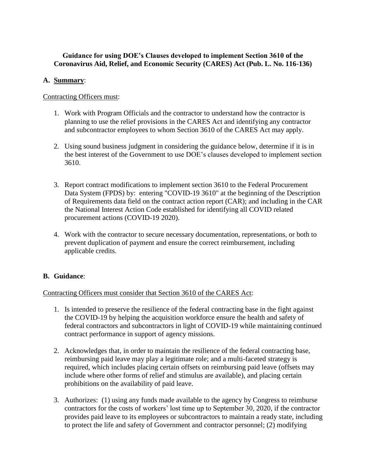# **Guidance for using DOE's Clauses developed to implement Section 3610 of the Coronavirus Aid, Relief, and Economic Security (CARES) Act (Pub. L. No. 116-136)**

## **A. Summary**:

#### Contracting Officers must:

- 1. Work with Program Officials and the contractor to understand how the contractor is planning to use the relief provisions in the CARES Act and identifying any contractor and subcontractor employees to whom Section 3610 of the CARES Act may apply.
- 2. Using sound business judgment in considering the guidance below, determine if it is in the best interest of the Government to use DOE's clauses developed to implement section 3610.
- 3. Report contract modifications to implement section 3610 to the Federal Procurement Data System (FPDS) by: entering "COVID-19 3610" at the beginning of the Description of Requirements data field on the contract action report (CAR); and including in the CAR the National Interest Action Code established for identifying all COVID related procurement actions (COVID-19 2020).
- 4. Work with the contractor to secure necessary documentation, representations, or both to prevent duplication of payment and ensure the correct reimbursement, including applicable credits.

# **B. Guidance**:

#### Contracting Officers must consider that Section 3610 of the CARES Act:

- 1. Is intended to preserve the resilience of the federal contracting base in the fight against the COVID-19 by helping the acquisition workforce ensure the health and safety of federal contractors and subcontractors in light of COVID-19 while maintaining continued contract performance in support of agency missions.
- 2. Acknowledges that, in order to maintain the resilience of the federal contracting base, reimbursing paid leave may play a legitimate role; and a multi-faceted strategy is required, which includes placing certain offsets on reimbursing paid leave (offsets may include where other forms of relief and stimulus are available), and placing certain prohibitions on the availability of paid leave.
- 3. Authorizes: (1) using any funds made available to the agency by Congress to reimburse contractors for the costs of workers' lost time up to September 30, 2020, if the contractor provides paid leave to its employees or subcontractors to maintain a ready state, including to protect the life and safety of Government and contractor personnel; (2) modifying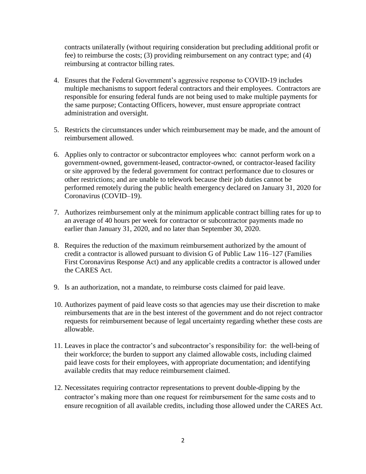contracts unilaterally (without requiring consideration but precluding additional profit or fee) to reimburse the costs; (3) providing reimbursement on any contract type; and (4) reimbursing at contractor billing rates.

- 4. Ensures that the Federal Government's aggressive response to COVID-19 includes multiple mechanisms to support federal contractors and their employees. Contractors are responsible for ensuring federal funds are not being used to make multiple payments for the same purpose; Contacting Officers, however, must ensure appropriate contract administration and oversight.
- 5. Restricts the circumstances under which reimbursement may be made, and the amount of reimbursement allowed.
- 6. Applies only to contractor or subcontractor employees who: cannot perform work on a government-owned, government-leased, contractor-owned, or contractor-leased facility or site approved by the federal government for contract performance due to closures or other restrictions; and are unable to telework because their job duties cannot be performed remotely during the public health emergency declared on January 31, 2020 for Coronavirus (COVID–19).
- 7. Authorizes reimbursement only at the minimum applicable contract billing rates for up to an average of 40 hours per week for contractor or subcontractor payments made no earlier than January 31, 2020, and no later than September 30, 2020.
- 8. Requires the reduction of the maximum reimbursement authorized by the amount of credit a contractor is allowed pursuant to division G of Public Law 116–127 (Families First Coronavirus Response Act) and any applicable credits a contractor is allowed under the CARES Act.
- 9. Is an authorization, not a mandate, to reimburse costs claimed for paid leave.
- 10. Authorizes payment of paid leave costs so that agencies may use their discretion to make reimbursements that are in the best interest of the government and do not reject contractor requests for reimbursement because of legal uncertainty regarding whether these costs are allowable.
- 11. Leaves in place the contractor's and subcontractor's responsibility for: the well-being of their workforce; the burden to support any claimed allowable costs, including claimed paid leave costs for their employees, with appropriate documentation; and identifying available credits that may reduce reimbursement claimed.
- 12. Necessitates requiring contractor representations to prevent double-dipping by the contractor's making more than one request for reimbursement for the same costs and to ensure recognition of all available credits, including those allowed under the CARES Act.